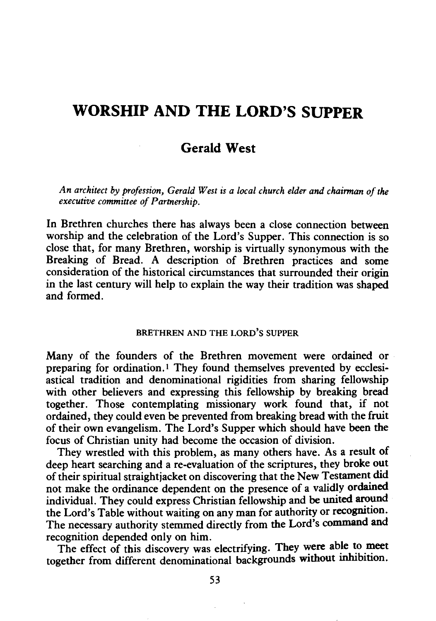# **WORSHIP AND THE LORD'S SUPPER**

## **Gerald West**

*An architect by profession, Gerald West is a local church elder and chairman of the executive committee of Partnership.* 

In Brethren churches there has always been a close connection between worship and the celebration of the Lord's Supper. This connection is so close that, for many Brethren, worship is virtually synonymous with the Breaking of Bread. A description of Brethren practices and some consideration of the historical circumstances that surrounded their origin in the last century will help to explain the way their tradition was shaped and formed.

### BRETHREN AND THE LORD'S SUPPER

Many of the founders of the Brethren movement were ordained or preparing for ordination. I They found themselves prevented by ecclesiastical tradition and denominational rigidities from sharing fellowship with other believers and expressing this fellowship by breaking bread together. Those contemplating missionary work found that, if not ordained, they could even be prevented from breaking bread with the fruit of their own evangelism. The Lord's Supper which should have been the focus of Christian unity had become the occasion of division.

They wrestled with this problem, as many others have. As a result of deep heart searching and a re-evaluation of the scriptures, they broke out of their spiritual straightjacket on discovering that the New Testament did not make the ordinance dependent on the presence of a validly ordained individual. They could express Christian fellowship and be united around the Lord's Table without waiting on any man for authority or recognition. The necessary authority stemmed directly from the Lord's command and recognition depended only on him.

The effect of this discovery was electrifying. They were able to meet together from different denominational backgrounds without inhibition.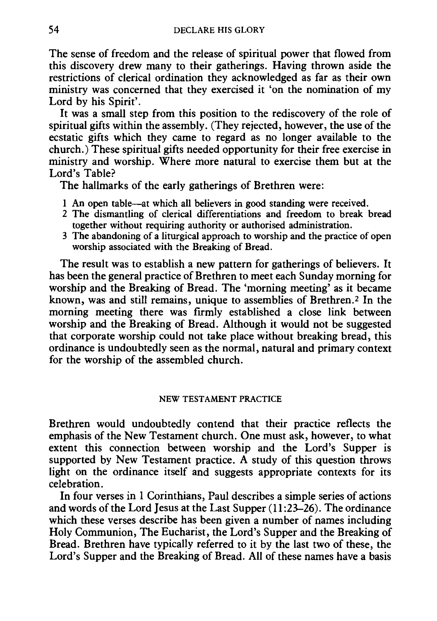The sense of freedom and the release of spiritual power that flowed from this discovery drew many to their gatherings. Having thrown aside the restrictions of clerical ordination they acknowledged as far as their own ministry was concerned that they exercised it 'on the nomination of my Lord by his Spirit'.

It was a small step from this position to the rediscovery of the role of spiritual gifts within the assembly. (They rejected, however, the use of the ecstatic gifts which they came to regard as no longer available to the church.) These spiritual gifts needed opportunity for their free exercise in ministry and worship. Where more natural to exercise them but at the Lord's Table?

The hallmarks of the early gatherings of Brethren were:

- 1 An open table-at which all believers in good standing were received.
- 2 The dismantling of clerical differentiations and freedom to break bread together without requiring authority or authorised administration.
- 3 The abandoning of a liturgical approach to worship and the practice of open worship associated with the Breaking of Bread.

The result was to establish a new pattern for gatherings of believers. It has been the general practice of Brethren to meet each Sunday morning for worship and the Breaking of Bread. The 'morning meeting' as it became known, was and still remains, unique to assemblies of Brethren.<sup>2</sup> In the morning meeting there was firmly established a close link between worship and the Breaking of Bread. Although it would not be suggested that corporate worship could not take place without breaking bread, this ordinance is undoubtedly seen as the normal, natural and primary context for the worship of the assembled church.

#### NEW TESTAMENT PRACTICE

Brethren would undoubtedly contend that their practice reflects the emphasis of the New Testament church. One must ask, however, to what extent this connection between worship and the Lord's Supper is supported by New Testament practice. A study of this question throws light on the ordinance itself and suggests appropriate contexts for its celebration.

In four verses in 1 Corinthians, Paul describes a simple series of actions and words of the Lord Jesus at the Last Supper (11 :23-26). The ordinance which these verses describe has been given a number of names including Holy Communion, The Eucharist, the Lord's Supper and the Breaking of Bread. Brethren have typically referred to it by the last two of these, the Lord's Supper and the Breaking of Bread. All of these names have a basis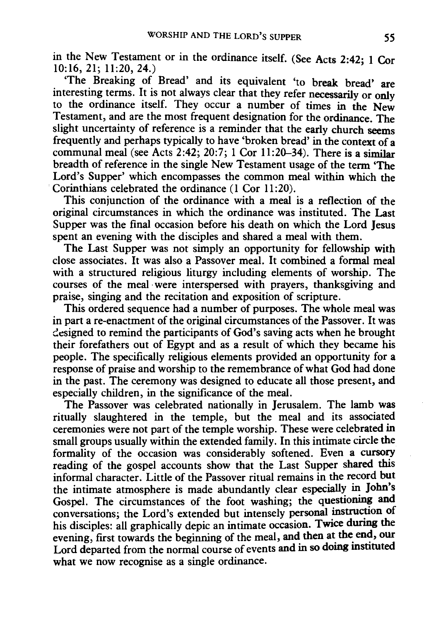in the New Testament or in the ordinance itself. (See Acts 2:42; 1 Cor 10:16, 21; 11:20, 24.)

'The Breaking of Bread' and its equivalent 'to break bread' are interesting terms. It is not always clear that they refer necessarily or only to the ordinance itself. They occur a number of times in the New Testament, and are the most frequent designation for the ordinance. The slight uncertainty of reference is a reminder that the early church seems frequently and perhaps typically to have 'broken bread' in the context of a communal meal (see Acts 2:42; 20:7; 1 Cor 11:20-34). There is a similar breadth of reference in the single New Testament usage of the term 'The Lord's Supper' which encompasses the common meal within which the Corinthians celebrated the ordinance (1 Cor 11:20).

This conjunction of the ordinance with a meal is a reflection of the original circumstances in which the ordinance was instituted. The Last Supper was the final occasion before his death on which the Lord Jesus spent an evening with the disciples and shared a meal with them.

The Last Supper was not simply an opportunity for fellowship with close associates. It was also a Passover meal. It combined a formal meal with a structured religious liturgy including elements of worship. The courses of the meal-were interspersed with prayers, thanksgiving and praise, singing and the recitation and exposition of scripture.

This ordered sequence had a number of purposes. The whole meal was in part a re-enactment of the original circumstances of the Passover. It was designed to remind the participants of God's saving acts when he brought their forefathers out of Egypt and as a result of which they became his people. The specifically religious elements provided an opportunity for a response of praise and worship to the remembrance of what God had done in the past. The ceremony was designed to educate all those present, and especially children, in the significance of the meal.

The Passover was celebrated nationally in Jerusalem. The lamb was ritually slaughtered in the temple, but the meal and its associated ceremonies were not part of the temple worship. These were celebrated in small groups usually within the extended family. In this intimate circle the formality of the occasion was considerably softened. Even a cursory reading of the gospel accounts show that the Last Supper shared this informal character. Little of the Passover ritual remains in the record but the intimate atmosphere is made abundantly clear especially in John's Gospel. The circumstances of the foot washing; the questioning and conversations; the Lord's extended but intensely personal instruction of his disciples: all graphically depic an intimate occasion. Twice during the evening, first towards the beginning of the meal, and then at the end, our Lord departed from the normal course of events and in so doing instituted what we now recognise as a single ordinance.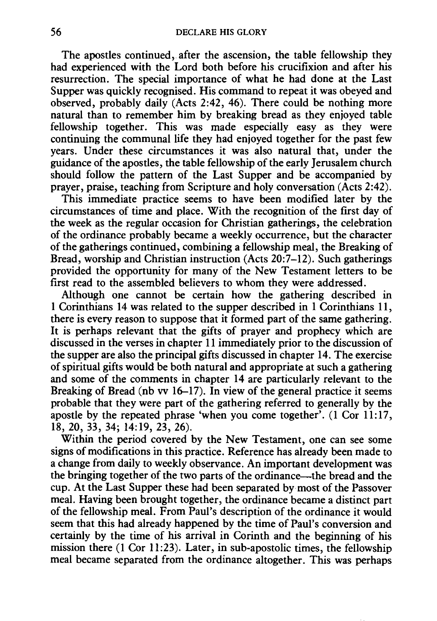The apostles continued, after the ascension, the table fellowship they had experienced with the Lord both before his crucifixion and after his resurrection. The special importance of what he had done at the Last Supper was quickly recognised. His command to repeat it was obeyed and observed, probably daily (Acts 2:42, 46). There could be nothing more natural than to remember him by breaking bread as they enjoyed table fellowship together. This was made especially easy as they were continuing the communal life they had enjoyed together for the past few years. Under these circumstances it was also natural that, under the guidance of the apostles, the table fellowship of the early Jerusalem church should follow the pattern of the Last Supper and be accompanied by prayer, praise, teaching from Scripture and holy conversation (Acts 2:42).

This immediate practice seems to have been modified later by the circumstances of time and place. With the recognition of the first day of the week as the regular occasion for Christian gatherings, the celebration of the ordinance probably became a weekly occurrence, but the character of the gatherings continued, combining a fellowship meal, the Breaking of Bread, worship and Christian instruction (Acts 20:7-12). Such gatherings provided the opportunity for many of the New Testament letters to be first read to the assembled believers to whom they were addressed.

Although one cannot be certain how the gathering described in 1 Corinthians 14 was related to the supper described in 1 Corinthians 11, there is every reason to suppose that it formed part of the same gathering. It is perhaps relevant that the gifts of prayer and prophecy which are discussed in the verses in chapter 11 immediately prior to the discussion of the supper are also the principal gifts discussed in chapter 14. The exercise of spiritual gifts would be both natural and appropriate at such a gathering and some of the comments in chapter 14 are particularly relevant to the Breaking of Bread (nb vv  $16-17$ ). In view of the general practice it seems probable that they were part of the gathering referred to generally by the apostle by the repeated phrase 'when you come together'. (1 Cor 11:17, 18, 20, 33, 34; 14:19, 23, 26).

Within the period covered by the New Testament, one can see some signs of modifications in this practice. Reference has already been made to a change from daily to weekly observance. An important development was the bringing together of the two parts of the ordinance-the bread and the cup. At the Last Supper these had been separated by most of the Passover meal. Having been brought together, the ordinance became a distinct part of the fellowship meal. From Paul's description of the ordinance it would seem that this had already happened by the time of Paul's conversion and certainly by the time of his arrival in Corinth and the beginning of his mission there (1 Cor 11:23). Later, in sub-apostolic times, the fellowship meal became separated from the ordinance altogether. This was perhaps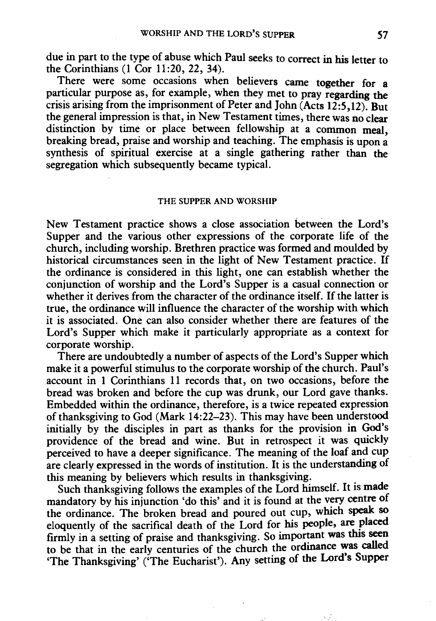due in part to the type of abuse which Paul seeks to correct in his letter to the Corinthians (1 Cor 11:20, 22, 34).

There were some occasions when believers came together for a particular purpose as, for example, when they met to pray regarding the crisis arising from the imprisonment of Peter and John (Acts 12:5,12). But the general impression is that, in New Testament times, there was no clear distinction by time or place between fellowship at a common meal, breaking bread, praise and worship and teaching. The emphasis is upon a synthesis of spiritual exercise at a single gathering rather than the segregation which subsequently became typical.

#### THE SUPPER AND WORSHIP

New Testament practice shows a close association between the Lord's Supper and the various other expressions of the corporate life of the church, including worship. Brethren practice was formed and moulded by historical circumstances seen in the light of New Testament practice. If the ordinance is considered in this light, one can establish whether the conjunction of worship and the Lord's Supper is a casual connection or whether it derives from the character of the ordinance itself. If the latter is true, the ordinance will influence the character of the worship with which it is associated. One can also consider whether there are features of the Lord's Supper which make it particularly appropriate as a context for corporate worship.

There are undoubtedly a number of aspects of the Lord's Supper which make it a powerful stimulus to the corporate worship of the church. Paul's account in 1 Corinthians 11 records that, on two occasions, before the bread was broken and before the cup was drunk, our Lord gave thanks. Embedded within the ordinance, therefore, is a twice repeated expression of thanksgiving to God (Mark 14:22-23). This may have been understood initially by the disciples in part as thanks for the provision in God's providence of the bread and wine. But in retrospect it was quickly perceived to have a deeper significance. The meaning of the loaf and cup are clearly expressed in the words of institution. It is the understanding of this meaning by believers which results in thanksgiving.

Such thanksgiving follows the examples of the Lord himself. It is made mandatory by his injunction 'do this' and it is found at the very centre of the ordinance. The broken bread and poured out cup, which speak so eloquently of the sacrifical death of the Lord for his people, are placed firmly in a setting of praise and thanksgiving. So important was this seen to be that in the early centuries of the church the ordinance was called 'The Thanksgiving' ('The Eucharist'). Any setting of the Lord's Supper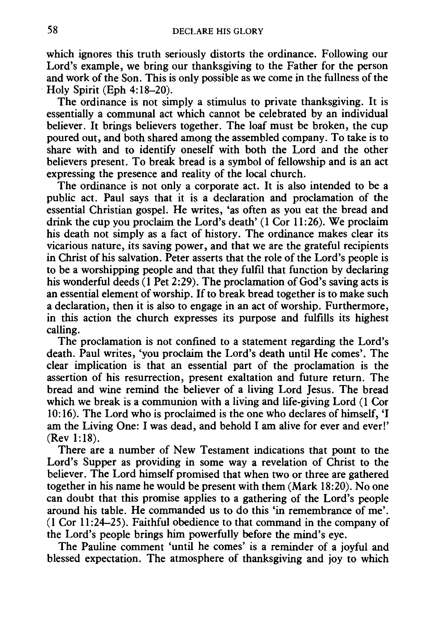which ignores this truth seriously distorts the ordinance. Following our Lord's example, we bring our thanksgiving to the Father for the person and work of the Son. This is only possible as we come in the fullness of the Holy Spirit (Eph 4: 18-20).

The ordinance is not simply a stimulus to private thanksgiving. It is essentially a communal act which cannot be celebrated by an individual believer. It brings believers together. The loaf must be broken, the cup poured out, and both shared among the assembled company. To take is to share with and to identify oneself with both the Lord and the other believers present. To break bread is a symbol of fellowship and is an act expressing the presence and reality of the local church.

The ordinance is not only a corporate act. It is also intended to be a public act. Paul says that it is a declaration and proclamation of the essential Christian gospel. He writes, 'as often as you eat the bread and drink the cup you proclaim the Lord's death' (1 Cor 11:26). We proclaim his death not simply as a fact of history. The ordinance makes clear its vicarious nature, its saving power, and that we are the grateful recipients in Christ of his salvation. Peter asserts that the role of the Lord's people is to be a worshipping people and that they fulfil that function by declaring his wonderful deeds (1 Pet 2:29). The proclamation of God's saving acts is an essential element of worship. If to break bread together is to make such a declaration, then it is also to engage in an act of worship. Furthermore, in this action the church expresses its purpose and fulfills its highest calling.

The proclamation is not confined to a statement regarding the Lord's death. Paul writes, 'you proclaim the Lord's death until He comes'. The clear implication is that an essential part of the proclamation is the assertion of his resurrection, present exaltation and future return. The bread and wine remind the believer of a living Lord Jesus. The bread which we break is a communion with a living and life-giving Lord (1 Cor 10: 16). The Lord who is proclaimed is the one who declares of himself, 'I am the Living One: I was dead, and behold I am alive for ever and ever!' (Rev 1:18).

There are a number of New Testament indications that pomt to the Lord's Supper as providing in some way a revelation of Christ to the believer. The Lord himself promised that when two or three are gathered together in his name he would be present with them (Mark 18:20). No one can doubt that this promise applies to a gathering of the Lord's people around his table. He commanded us to do this 'in remembrance of me'. (1 Cor 11:24-25). Faithful obedience to that command in the company of the Lord's people brings him powerfully before the mind's eye.

The Pauline comment 'until he comes' is a reminder of a joyful and blessed expectation. The atmosphere of thanksgiving and joy to which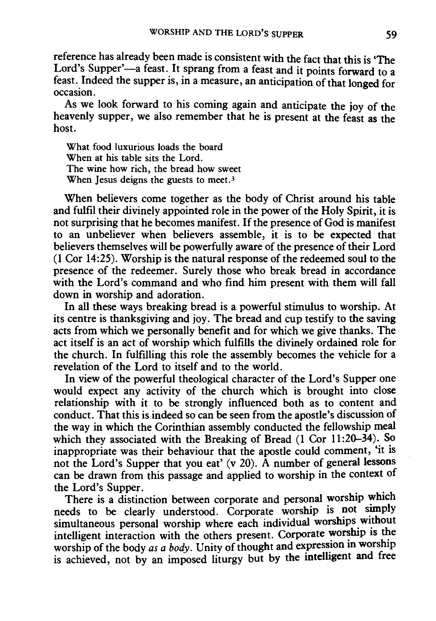reference has already been made is consistent with the fact that this is 'The Lord's Supper'-a feast. It sprang from a feast and it points forward to a feast. Indeed the supper is, in a measure, an anticipation of that longed for occasion.

As we look forward to his coming again and anticipate the joy of the heavenly supper, we also remember that he is present at the feast as the host.

What food luxurious loads the board When at his table sits the Lord. The wine how rich, the bread how sweet When Jesus deigns the guests to meet.<sup>3</sup>

When believers come together as the body of Christ around his table and fulfil their divinely appointed role in the power of the Holy Spirit, it is not surprising that he becomes manifest. If the presence of God is manifest to an unbeliever when believers assemble, it is to be expected that believers themselves will be powerfully aware of the presence of their Lord (1 Cor 14:25). Worship is the natural response of the redeemed soul to the presence of the redeemer. Surely those who break bread in accordance with the Lord's command and who find him present with them will fall down in worship and adoration.

In all these ways breaking bread is a powerful stimulus to worship. At its centre is thanksgiving and joy. The bread and cup testify to the saving acts from which we personally benefit and for which we give thanks. The act itself is an act of worship which fulfills the divinely ordained role for the church. In fulfilling this role the assembly becomes the vehicle for a revelation of the Lord to itself and to the world.

In view of the powerful theological character of the Lord's Supper one would expect any activity of the church which is brought into close relationship with it to be strongly influenced both as to content and conduct. That this is indeed so can be seen from the apostle's discussion of the way in which the Corinthian assembly conducted the fellowship meal which they associated with the Breaking of Bread (1 Cor 11:20-34). So inappropriate was their behaviour that the apostle could comment, 'it is not the Lord's Supper that you eat' (v 20).  $\bar{A}$  number of general lessons can be drawn from this passage and applied to worship in the context of the Lord's Supper.

There is a distinction between corporate and personal worship which needs to be clearly understood. Corporate worship is not simply simultaneous personal worship where each individual worships without intelligent interaction with the others present. Corporate worship is the worship of the body *as a body*. Unity of thought and expression in worship is achieved, not by an imposed liturgy but by the mtelligent and free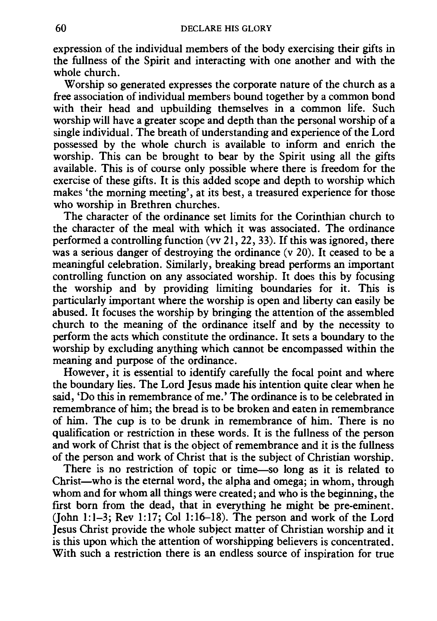expression of the individual members of the body exercising their gifts in the fullness of the Spirit and interacting with one another and with the whole church.

Worship so generated expresses the corporate nature of the church as a free association of individual members bound together by a common bond with their head and upbuilding themselves in a common life. Such worship will have a greater scope and depth than the personal worship of a single individual. The breath of understanding and experience of the Lord possessed by the whole church is available to inform and enrich the worship. This can be brought to bear by the Spirit using all the gifts available. This is of course only possible where there is freedom for the exercise of these gifts. It is this added scope and depth to worship which makes 'the morning meeting', at its best, a treasured experience for those who worship in Brethren churches.

The character of the ordinance set limits for the Corinthian church to the character of the meal with which it was associated. The ordinance performed a controlling function (vv 21, 22, 33). If this was ignored, there was a serious danger of destroving the ordinance (y 20). It ceased to be a meaningful celebration. Similarly, breaking bread performs an important controlling function on any associated worship. It does this by focusing the worship and by providing limiting boundaries for it. This is particularly important where the worship is open and liberty can easily be abused. It focuses the worship by bringing the attention of the assembled church to the meaning of the ordinance itself and by the necessity to perform the acts which constitute the ordinance. It sets a boundary to the worship by excluding anything which cannot be encompassed within the meaning and purpose of the ordinance.

However, it is essential to identify carefully the focal point and where the boundary lies. The Lord Jesus made his intention quite clear when he said, 'Do this in remembrance of me.' The ordinance is to be celebrated in remembrance of him; the bread is to be broken and eaten in remembrance of him. The cup is to be drunk in remembrance of him. There is no qualification or restriction in these words. It is the fullness of the person and work of Christ that is the object of remembrance and it is the fullness of the person and work of Christ that is the subject of Christian worship.

There is no restriction of topic or time-so long as it is related to Christ-who is the eternal word, the alpha and omega; in whom, through whom and for whom all things were created; and who is the beginning, the first born from the dead, that in everything he might be pre-eminent.  $(John 1:1-3; Rev 1:17; Col 1:16-18).$  The person and work of the Lord Jesus Christ provide the whole subject matter of Christian worship and it is this upon which the attention of worshipping believers is concentrated. With such a restriction there is an endless source of inspiration for true